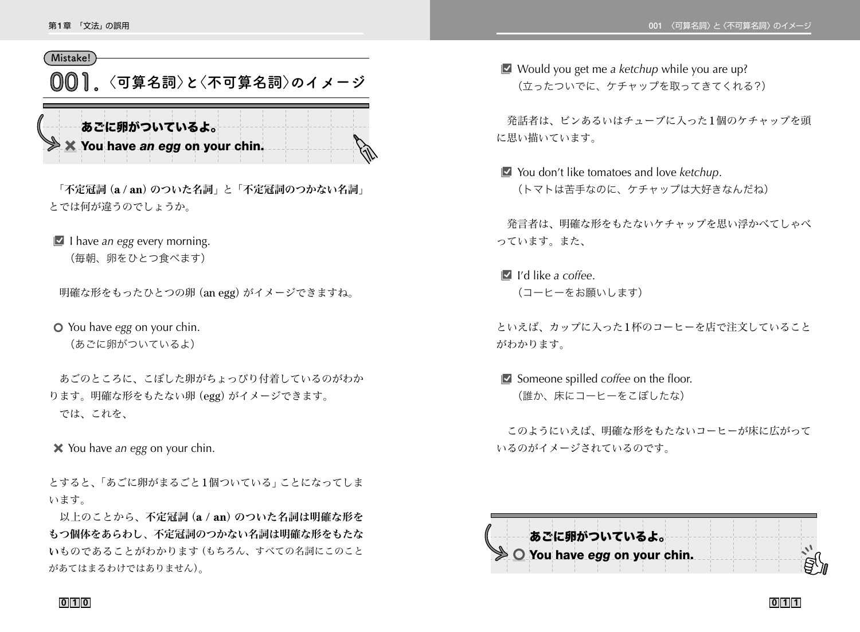## **Mistake!**

**001 〈可算名詞〉と〈不可算名詞〉のイメージ**

あごに卵がついているよ。 × You have *an egg* on your chin.

「不定冠詞(a / an) のついた名詞」と「不定冠詞のつかない名詞」 とでは何が違うのでしょうか。

**■** I have *an egg* every morning.

(毎朝、卵をひとつ食べます)

明確な形をもったひとつの卵(an egg)がイメージできますね。

5 You have *egg* on your chin. (あごに卵がついているよ)

 あごのところに、こぼした卵がちょっぴり付着しているのがわか ります。明確な形をもたない卵(egg)がイメージできます。 では、これを、

4 You have *an egg* on your chin.

とすると、「あごに卵がまるごと1個ついている」ことになってしま います。

以上のことから、不定冠詞(a / an)のついた名詞は明確な形を もつ個体をあらわし、不定冠詞のつかない名詞は明確な形をもたな いものであることがわかります(もちろん、すべての名詞にこのこと があてはまるわけではありません)。

■ Would you get me *a ketchup* while you are up? (立ったついでに、ケチャップを取ってきてくれる?)

 発話者は、ビンあるいはチューブに入った1個のケチャップを頭 に思い描いています。

■ You don't like tomatoes and love *ketchup*. (トマトは苦手なのに、ケチャップは大好きなんだね)

 発言者は、明確な形をもたないケチャップを思い浮かべてしゃべ っています。また、

B I'd like *a coffee*. (コーヒーをお願いします)

といえば、カップに入った1杯のコーヒーを店で注文していること がわかります。

**B** Someone spilled *coffee* on the floor. (誰か、床にコーヒーをこぼしたな)

 このようにいえば、明確な形をもたないコーヒーが床に広がって いるのがイメージされているのです。